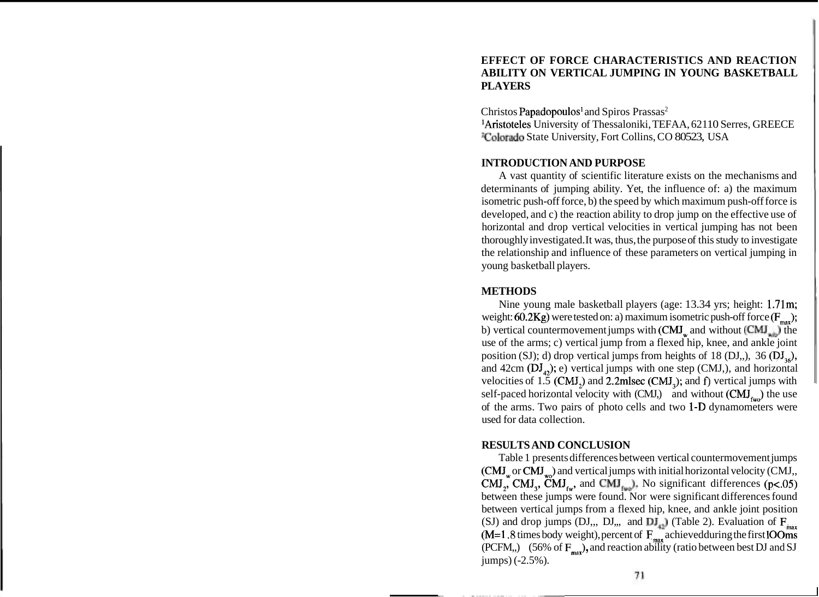# **EFFECT OF FORCE CHARACTERISTICS AND REACTION ABILITY ON VERTICAL JUMPING IN YOUNG BASKETBALL PLAYERS**

Christos Papadopoulos<sup>1</sup> and Spiros Prassas<sup>2</sup>

'Aristoteles University of Thessaloniki, TEFAA, 621 10 Serres, GREECE 2Colorado State University, Fort Collins, CO 80523, USA

## **INTRODUCTION AND PURPOSE**

A vast quantity of scientific literature exists on the mechanisms and determinants of jumping ability. Yet, the influence of: a) the maximum isometric push-off force, b) the speed by which maximum push-off force is developed, and c) the reaction ability to drop jump on the effective use of horizontal and drop vertical velocities in vertical jumping has not been thoroughly investigated. It was, thus, the purpose of this study to investigate the relationship and influence of these parameters on vertical jumping in young basketball players.

#### **METHODS**

Nine young male basketball players (age: 13.34 yrs; height: 1.71m; weight: 60.2Kg) were tested on: a) maximum isometric push-off force  $(F_{\text{max}})$ ; b) vertical countermovement jumps with  $(CMI_w$  and without  $(CMI_w)$  the use of the arms; c) vertical jump from a flexed hip, knee, and ankle joint position (SJ); d) drop vertical jumps from heights of 18 (DJ,,), 36 ( $DJ_{i\epsilon}$ ); and 42cm  $(DJ_{12})$ ; e) vertical jumps with one step (CMJ,), and horizontal velocities of 1.5 (CMJ<sub>3</sub>) and 2.2mlsec (CMJ<sub>3</sub>); and f) vertical jumps with self-paced horizontal velocity with  $(CMI)$  and without  $(CMI)$ <sub>cm</sub>) the use of the arms. Two pairs of photo cells and two 1-D dynamometers were used for data collection.

## **RESULTS AND CONCLUSION**

Table 1 presents differences between vertical countermovement jumps  $(\text{CMJ}_{\text{w}})$  and vertical jumps with initial horizontal velocity  $(\text{CMJ}_{\text{w}})$ CMJ<sub>3</sub>, CMJ<sub>3</sub>, CMJ<sub>69</sub>, and CMJ<sub>69</sub>). No significant differences (p<.05) between these jumps were found. Nor were significant differences found between vertical jumps from a flexed hip, knee, and ankle joint position (SJ) and drop jumps (DJ,,, DJ,,, and  $\overline{DJ}_{43}$ ) (Table 2). Evaluation of  $F_{\text{max}}$  $(M=1.8$  times body weight), percent of  $F_{max}$  achievedduring the first lOOms (PCFM,,)  $(56\% \text{ of } \mathbf{F}_{\text{max}})$ , and reaction ability (ratio between best DJ and SJ jumps) (-2.5%).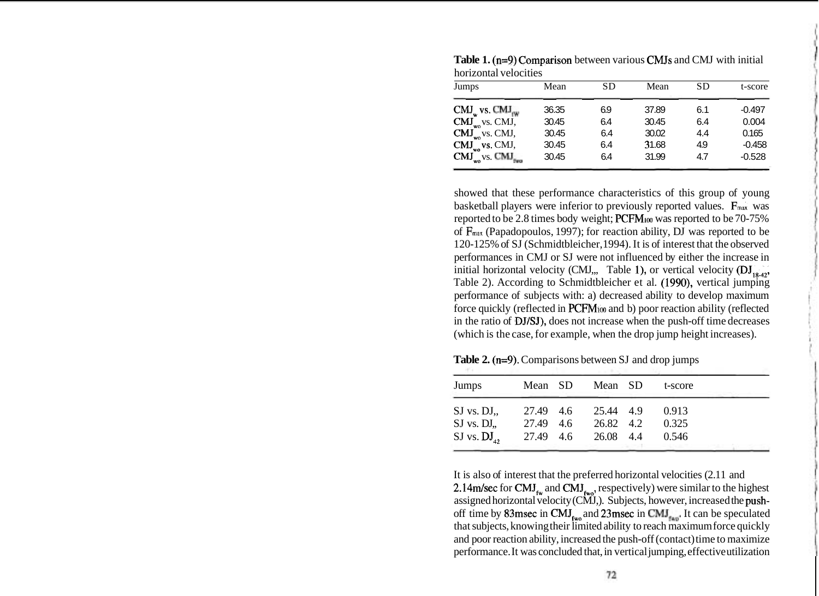| <b>Table 1.</b> $(n=9)$ Comparison between various CMJs and CMJ with initial<br>horizontal velocities |       |     |       |           |          |  |  |  |
|-------------------------------------------------------------------------------------------------------|-------|-----|-------|-----------|----------|--|--|--|
| Jumps                                                                                                 | Mean  | SD  | Mean  | <b>SD</b> | t-score  |  |  |  |
| $CMJ_w$ vs. $CMJ_{rw}$                                                                                | 36.35 | 69  | 37.89 | 6.1       | $-0.497$ |  |  |  |
| $CMJ_{wo}$ vs. $CMJ,$                                                                                 | 30.45 | 64  | 30.45 | 6.4       | 0.004    |  |  |  |
| $CMJ_{wo}$ vs. CMJ,                                                                                   | 30.45 | 64  | 30.02 | 4.4       | 0.165    |  |  |  |
| $CMJwo$ vs. CMJ,                                                                                      | 30.45 | 6.4 | 31.68 | 4.9       | $-0.458$ |  |  |  |
| $CMJ_{wo}$ vs. $CMJ_{w}$                                                                              | 30.45 | 64  | 31.99 | 4.7       | $-0.528$ |  |  |  |

**Table 1.** (n=9) Comparison between various CMJs and CMJ with initial horizontal velocities

showed that these performance characteristics of this group of young basketball players were inferior to previously reported values. F<sub>max</sub> was reported to be 2.8 times body weight; PCFM<sub>100</sub> was reported to be 70-75% of **Fmax** (Papadopoulos, 1997); for reaction ability, DJ was reported to be 120-125% of SJ (Schmidtbleicher, 1994). It is of interest that the observed performances in CMJ or SJ were not influenced by either the increase in initial horizontal velocity (CMJ,,, Table 1), or vertical velocity ( $DJ_{18,42}$ , Table 2). According to Schmidtbleicher et al. (1990), vertical jumping performance of subjects with: a) decreased ability to develop maximum force quickly (reflected in PCFM<sub>100</sub> and b) poor reaction ability (reflected in the ratio of DJ/SJ), does not increase when the push-off time decreases (which is the case, for example, when the drop jump height increases).

| Jumps            | Mean SD   | Mean SD   | t-score |  |
|------------------|-----------|-----------|---------|--|
| $SJ$ vs. $DJ$ .  | 27.49 4.6 | 25.44 4.9 | 0.913   |  |
| $SJ$ vs. $DJ$ .  | 27.49 4.6 | 26.82 4.2 | 0.325   |  |
| SJ vs. $DJ_{42}$ | 27.49 4.6 | 26.08 4.4 | 0.546   |  |

**Table 2. (n=9).** Comparisons between SJ and drop jumps

It is also of interest that the preferred horizontal velocities (2.11 and 2.14m/sec for CMJ<sub>tw</sub> and CMJ<sub>two</sub>, respectively) were similar to the highest assigned horizontal velocity (CMJ,). Subjects, however, increased the pushoff time by 83msec in CMJ<sub>two</sub> and 23msec in CMJ<sub>two</sub>. It can be speculated that subjects, knowing their limited ability to reach maximum force quickly and poor reaction ability, increased the push-off (contact) time to maximize performance. It was concluded that, in vertical jumping, effective utilization